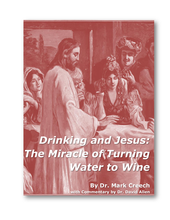# *Drinking and Jesus: The Miracle of Turning Water to Wine*

**By Dr. Mark Creech with Commentary by Dr. David Allen**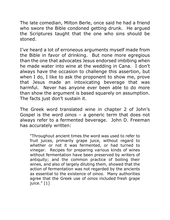The late comedian, Milton Berle, once said he had a friend who swore the Bible condoned getting drunk. He argued the Scriptures taught that the one who sins should be stoned.

I've heard a lot of erroneous arguments myself made from the Bible in favor of drinking. But none more egregious than the one that advocates Jesus endorsed imbibing when he made water into wine at the wedding in Cana. I don't always have the occasion to challenge this assertion, but when I do, I like to ask the proponent to show me, prove that Jesus made an intoxicating beverage that was harmful. Never has anyone ever been able to do more than show the argument is based squarely on assumption. The facts just don't sustain it.

The Greek word translated wine in chapter 2 of John's Gospel is the word *oinos* – a generic term that does not always refer to a fermented beverage. John D. Freeman has accurately written:

"Throughout ancient times the word was used to refer to fruit juices, primarily grape juice, without regard to whether or not it was fermented, or had turned to vinegar. Recipes for preparing various kinds of wines without fermentation have been preserved by writers of antiquity; and the common practice of boiling their wines, and also of largely diluting them, showed that the action of fermentation was not regarded by the ancients as essential to the existence of *oinos.* Many authorities agree that the Greek use of *oinos* included fresh grape juice." [1]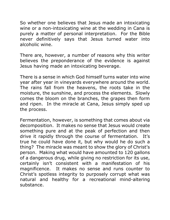So whether one believes that Jesus made an intoxicating wine or a non-intoxicating wine at the wedding in Cana is purely a matter of personal interpretation. For the Bible never definitively says that Jesus turned water into alcoholic wine.

There are, however, a number of reasons why this writer believes the preponderance of the evidence is against Jesus having made an intoxicating beverage.

There is a sense in which God himself turns water into wine year after year in vineyards everywhere around the world. The rains fall from the heavens, the roots take in the moisture, the sunshine, and process the elements. Slowly comes the bloom on the branches, the grapes then form and ripen. In the miracle at Cana, Jesus simply sped up the process.

Fermentation, however, is something that comes about via decomposition. It makes no sense that Jesus would create something pure and at the peak of perfection and then drive it rapidly through the course of fermentation. It's true he could have done it, but why would he do such a thing? The miracle was meant to show the glory of Christ's person. Making what would have amounted to 120 gallons of a dangerous drug, while giving no restriction for its use, certainly isn't consistent with a manifestation of his magnificence. It makes no sense and runs counter to Christ's spotless integrity to purposely corrupt what was natural and healthy for a recreational mind-altering substance.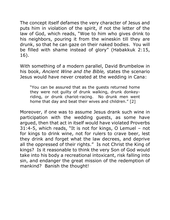The concept itself defames the very character of Jesus and puts him in violation of the spirit, if not the letter of the law of God, which reads, "Woe to him who gives drink to his neighbors, pouring it from the wineskin till they are drunk, so that he can gaze on their naked bodies. You will be filled with shame instead of glory" (Habakkuk 2:15, 16).

With something of a modern parallel, David Brumbelow in his book, *Ancient Wine and the Bible,* states the scenario Jesus would have never created at the wedding in Cana:

"You can be assured that as the guests returned home they were not guilty of drunk walking, drunk donkeyriding, or drunk chariot-racing. No drunk men went home that day and beat their wives and children." [2]

Moreover, if one was to assume Jesus drank such wine in participation with the wedding guests, as some have argued, then that act in itself would have violated Proverbs 31:4-5, which reads, "It is not for kings, O Lemuel – not for kings to drink wine, not for rulers to crave beer, lest they drink and forget what the law decrees, and deprive all the oppressed of their rights." Is not Christ the King of kings? Is it reasonable to think the very Son of God would take into his body a recreational intoxicant, risk falling into sin, and endanger the great mission of the redemption of mankind? Banish the thought!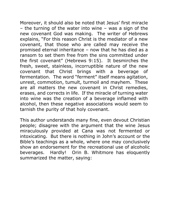Moreover, it should also be noted that Jesus' first miracle – the turning of the water into wine – was a sign of the new covenant God was making. The writer of Hebrews explains, "For this reason Christ is the mediator of a new covenant, that those who are called may receive the promised eternal inheritance – now that he has died as a ransom to set them free from the sins committed under the first covenant" (Hebrews 9:15). It besmirches the fresh, sweet, stainless, incorruptible nature of the new covenant that Christ brings with a beverage of fermentation. The word "ferment" itself means agitation, unrest, commotion, tumult, turmoil and mayhem. These are all matters the new covenant in Christ remedies, erases, and corrects in life. If the miracle of turning water into wine was the creation of a beverage inflamed with alcohol, then these negative associations would seem to tarnish the purity of that holy covenant.

This author understands many fine, even devout Christian people; disagree with the argument that the wine Jesus miraculously provided at Cana was not fermented or intoxicating. But there is nothing in John's account or the Bible's teachings as a whole, where one may conclusively show an endorsement for the recreational use of alcoholic beverages. Hardly! Orin B. Whitmore has eloquently summarized the matter, saying: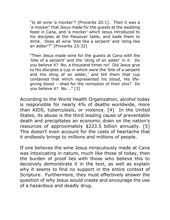"Is all wine 'a mocker'? [Proverbs 20:1]. Then it was a 'a mocker' that Jesus made for the guests at the wedding feast in Cana, and 'a mocker' which Jesus introduced to his disciples at the Passover table, and bade them to drink. Does all wine 'bite like a serpent' and 'sting like an adder'?" [Proverbs 23:32]

"Then Jesus made wine for the guests at Cana with the 'bite of a serpent' and the 'sting of an adder' in it. Do you believe it? No, a thousand times no! Did Jesus give to His disciples a cup in which were the 'bite of a serpent and the sting of an adder,' and tell them that cup contained that which represented his blood, His lifegiving blood – shed for the remission of their sins? Do you believe it? No…." [3]

According to the World Health Organization, alcohol today is responsible for nearly 4% of deaths worldwide, more than AIDS, tuberculosis, or violence. [4] In the United States, its abuse is the third leading cause of preventable death and precipitates an economic drain on the nation's resources of approximately \$223.5 billion annually. [5] This doesn't even account for the costs of heartache that it endlessly brings to millions and millions of people.

If one believes the wine Jesus miraculously made at Cana was intoxicating in nature, much like those of today, then the burden of proof lies with those who believe this to decisively demonstrate it in the text, as well as explain why it seems to find no support in the entire context of Scripture. Furthermore, they must effectively answer the question of why Jesus would create and encourage the use of a hazardous and deadly drug.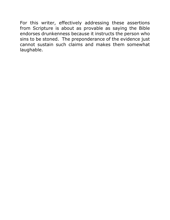For this writer, effectively addressing these assertions from Scripture is about as provable as saying the Bible endorses drunkenness because it instructs the person who sins to be stoned. The preponderance of the evidence just cannot sustain such claims and makes them somewhat laughable.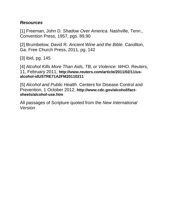#### *Resources*

[1] Freeman, John D. *Shadow Over America.* Nashville, Tenn., Convention Press, 1957, pgs. 89,90

[2] Brumbelow, David R. *Ancient Wine and the Bible.* Carollton, Ga. Free Church Press, 2011, pg. 142

[3] Ibid, pg. 145

[4] *Alcohol Kills More Than Aids, TB, or Violence: WHO. Reuters,* 11, February 2011, **http://www.reuters.com/article/2011/02/11/usalcohol-idUSTRE71A2FM20110211**

[5] *Alcohol and Public Health*. Centers for Disease Control and Prevention, 1 October 2012, **http://www.cdc.gov/alcohol/factsheets/alcohol-use.htm**

All passages of Scripture quoted from the *New International Version*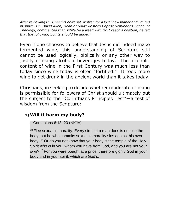*After reviewing Dr. Creech's editorial, written for a local newspaper and limited in space, Dr. David Allen, Dean of Southwestern Baptist Seminary's School of Theology, commented that, while he agreed with Dr. Creech's position, he felt that the following points should be added:*

Even if one chooses to believe that Jesus did indeed make fermented wine, this understanding of Scripture still cannot be used logically, biblically or any other way to justify drinking alcoholic beverages today. The alcoholic content of wine in the First Century was much less than today since wine today is often "fortified." It took more wine to get drunk in the ancient world than it takes today.

Christians, in seeking to decide whether moderate drinking is permissible for followers of Christ should ultimately put the subject to the "Corinthians Principles Test"—a test of wisdom from the Scripture:

### **1)Will it harm my body?**

#### 1 Corinthians 6:18–20 (NKJV)

 $18$  Flee sexual immorality. Every sin that a man does is outside the body, but he who commits sexual immorality sins against his own body. <sup>19</sup> Or do you not know that your body is the temple of the Holy Spirit *who is* in you, whom you have from God, and you are not your own? <sup>20</sup> For you were bought at a price; therefore glorify God in your body and in your spirit, which are God's.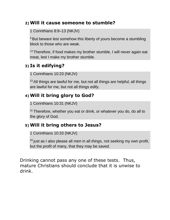#### **2)Will it cause someone to stumble?**

1 Corinthians 8:9–13 (NKJV)

<sup>9</sup> But beware lest somehow this liberty of yours become a stumbling block to those who are weak.

<sup>13</sup> Therefore, if food makes my brother stumble, I will never again eat meat, lest I make my brother stumble.

# **3) Is it edifying?**

1 Corinthians 10:23 (NKJV)

 $23$  All things are lawful for me, but not all things are helpful; all things are lawful for me, but not all things edify.

# **4)Will it bring glory to God?**

1 Corinthians 10:31 (NKJV)

 $31$  Therefore, whether you eat or drink, or whatever you do, do all to the glory of God.

## **5)Will it bring others to Jesus?**

1 Corinthians 10:33 (NKJV)

<sup>33</sup> just as I also please all *men* in all *things,* not seeking my own profit, but the *profit* of many, that they may be saved.

Drinking cannot pass any one of these tests. Thus, mature Christians should conclude that it is unwise to drink.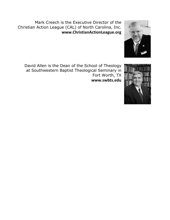Mark Creech is the Executive Director of the Christian Action League (CAL) of North Carolina, Inc. **www.ChristianActionLeague.org**



David Allen is the Dean of the School of Theology at Southwestern Baptist Theological Seminary in Fort Worth, TX **www.swbts.edu**